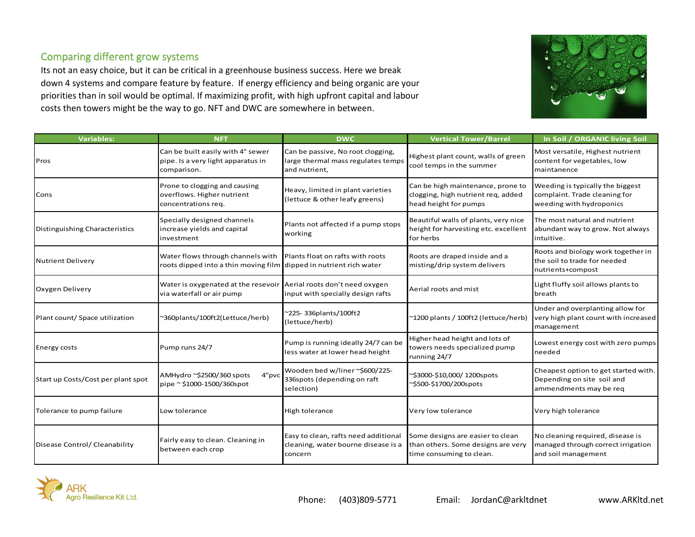## Comparing different grow systems

Its not an easy choice, but it can be critical in a greenhouse business success. Here we break down 4 systems and compare feature by feature. If energy efficiency and being organic are your priorities than in soil would be optimal. If maximizing profit, with high upfront capital and labour costs then towers might be the way to go. NFT and DWC are somewhere in between.



| <b>Variables:</b>                  | <b>NFT</b>                                                                                              | <b>DWC</b>                                                                               | <b>Vertical Tower/Barrel</b>                                                                       | In Soil / ORGANIC living Soil                                                                 |
|------------------------------------|---------------------------------------------------------------------------------------------------------|------------------------------------------------------------------------------------------|----------------------------------------------------------------------------------------------------|-----------------------------------------------------------------------------------------------|
| Pros                               | Can be built easily with 4" sewer<br>pipe. Is a very light apparatus in<br>comparison.                  | Can be passive, No root clogging,<br>large thermal mass regulates temps<br>and nutrient, | Highest plant count, walls of green<br>cool temps in the summer                                    | Most versatile, Highest nutrient<br>content for vegetables, low<br>maintanence                |
| Cons                               | Prone to clogging and causing<br>overflows. Higher nutrient<br>concentrations req.                      | Heavy, limited in plant varieties<br>(lettuce & other leafy greens)                      | Can be high maintenance, prone to<br>clogging, high nutrient req, added<br>head height for pumps   | Weeding is typically the biggest<br>complaint. Trade cleaning for<br>weeding with hydroponics |
| Distinguishing Characteristics     | Specially designed channels<br>increase yields and capital<br>investment                                | Plants not affected if a pump stops<br>working                                           | Beautiful walls of plants, very nice<br>height for harvesting etc. excellent<br>for herbs          | The most natural and nutrient<br>abundant way to grow. Not always<br>intuitive.               |
| Nutrient Delivery                  | Water flows through channels with<br>roots dipped into a thin moving film dipped in nutrient rich water | Plants float on rafts with roots                                                         | Roots are draped inside and a<br>misting/drip system delivers                                      | Roots and biology work together in<br>the soil to trade for needed<br>nutrients+compost       |
| Oxygen Delivery                    | Water is oxygenated at the resevoir Aerial roots don't need oxygen<br>via waterfall or air pump         | input with specially design rafts                                                        | Aerial roots and mist                                                                              | Light fluffy soil allows plants to<br>breath                                                  |
| Plant count/ Space utilization     | ~360plants/100ft2(Lettuce/herb)                                                                         | ~225-336plants/100ft2<br>(lettuce/herb)                                                  | ~1200 plants / 100ft2 (lettuce/herb)                                                               | Under and overplanting allow for<br>very high plant count with increased<br>management        |
| <b>Energy costs</b>                | Pump runs 24/7                                                                                          | Pump is running ideally 24/7 can be<br>less water at lower head height                   | Higher head height and lots of<br>towers needs specialized pump<br>running 24/7                    | Lowest energy cost with zero pumps<br>needed                                                  |
| Start up Costs/Cost per plant spot | 4"pvc<br>AMHydro ~\$2500/360 spots<br>pipe ~ \$1000-1500/360spot                                        | Wooden bed w/liner ~\$600/225-<br>336spots (depending on raft<br>selection)              | ~\$3000-\$10,000/1200spots<br>~\$500-\$1700/200spots                                               | Cheapest option to get started with.<br>Depending on site soil and<br>ammendments may be req  |
| Tolerance to pump failure          | Low tolerance                                                                                           | High tolerance                                                                           | Very low tolerance                                                                                 | Very high tolerance                                                                           |
| Disease Control/ Cleanability      | Fairly easy to clean. Cleaning in<br>between each crop                                                  | Easy to clean, rafts need additional<br>cleaning, water bourne disease is a<br>concern   | Some designs are easier to clean<br>than others. Some designs are very<br>time consuming to clean. | No cleaning required, disease is<br>managed through correct irrigation<br>and soil management |